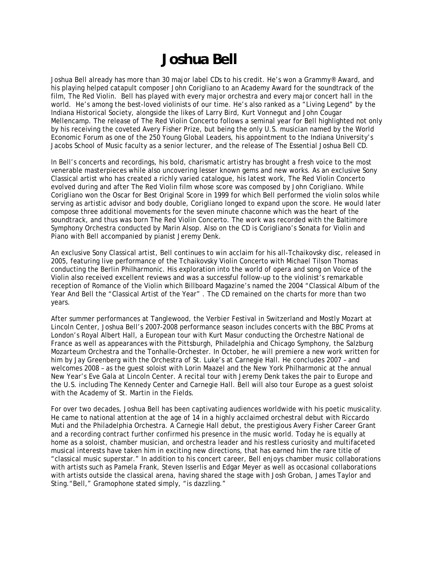## **Joshua Bell**

Joshua Bell already has more than 30 major label CDs to his credit. He's won a Grammy® Award, and his playing helped catapult composer John Corigliano to an Academy Award for the soundtrack of the film, The Red Violin. Bell has played with every major orchestra and every major concert hall in the world. He's among the best-loved violinists of our time. He's also ranked as a "Living Legend" by the Indiana Historical Society, alongside the likes of Larry Bird, Kurt Vonnegut and John Cougar Mellencamp. The release of The Red Violin Concerto follows a seminal year for Bell highlighted not only by his receiving the coveted Avery Fisher Prize, but being the only U.S. musician named by the World Economic Forum as one of the 250 Young Global Leaders, his appointment to the Indiana University's Jacobs School of Music faculty as a senior lecturer, and the release of The Essential Joshua Bell CD.

In Bell's concerts and recordings, his bold, charismatic artistry has brought a fresh voice to the most venerable masterpieces while also uncovering lesser known gems and new works. As an exclusive Sony Classical artist who has created a richly varied catalogue, his latest work, The Red Violin Concerto evolved during and after The Red Violin film whose score was composed by John Corigliano. While Corigliano won the Oscar for Best Original Score in 1999 for which Bell performed the violin solos while serving as artistic advisor and body double, Corigliano longed to expand upon the score. He would later compose three additional movements for the seven minute chaconne which was the heart of the soundtrack, and thus was born The Red Violin Concerto. The work was recorded with the Baltimore Symphony Orchestra conducted by Marin Alsop. Also on the CD is Corigliano's Sonata for Violin and Piano with Bell accompanied by pianist Jeremy Denk.

An exclusive Sony Classical artist, Bell continues to win acclaim for his all-Tchaikovsky disc, released in 2005, featuring live performance of the Tchaikovsky Violin Concerto with Michael Tilson Thomas conducting the Berlin Philharmonic. His exploration into the world of opera and song on Voice of the Violin also received excellent reviews and was a successful follow-up to the violinist's remarkable reception of Romance of the Violin which Billboard Magazine's named the 2004 "Classical Album of the Year And Bell the "Classical Artist of the Year" . The CD remained on the charts for more than two years.

After summer performances at Tanglewood, the Verbier Festival in Switzerland and Mostly Mozart at Lincoln Center, Joshua Bell's 2007-2008 performance season includes concerts with the BBC Proms at London's Royal Albert Hall, a European tour with Kurt Masur conducting the Orchestre National de France as well as appearances with the Pittsburgh, Philadelphia and Chicago Symphony, the Salzburg Mozarteum Orchestra and the Tonhalle-Orchester. In October, he will premiere a new work written for him by Jay Greenberg with the Orchestra of St. Luke's at Carnegie Hall. He concludes 2007 – and welcomes 2008 – as the guest soloist with Lorin Maazel and the New York Philharmonic at the annual New Year's Eve Gala at Lincoln Center. A recital tour with Jeremy Denk takes the pair to Europe and the U.S. including The Kennedy Center and Carnegie Hall. Bell will also tour Europe as a guest soloist with the Academy of St. Martin in the Fields.

For over two decades, Joshua Bell has been captivating audiences worldwide with his poetic musicality. He came to national attention at the age of 14 in a highly acclaimed orchestral debut with Riccardo Muti and the Philadelphia Orchestra. A Carnegie Hall debut, the prestigious Avery Fisher Career Grant and a recording contract further confirmed his presence in the music world. Today he is equally at home as a soloist, chamber musician, and orchestra leader and his restless curiosity and multifaceted musical interests have taken him in exciting new directions, that has earned him the rare title of "classical music superstar." In addition to his concert career, Bell enjoys chamber music collaborations with artists such as Pamela Frank, Steven Isserlis and Edgar Meyer as well as occasional collaborations with artists outside the classical arena, having shared the stage with Josh Groban, James Taylor and Sting."Bell," Gramophone stated simply, "is dazzling."